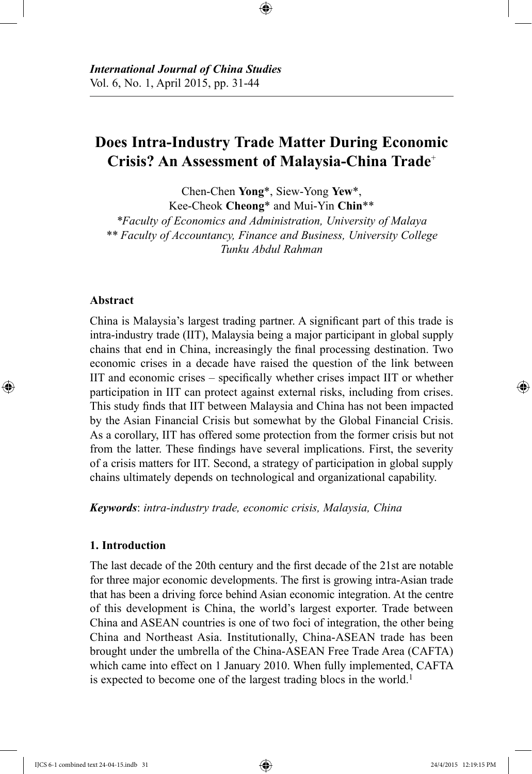# **Does Intra-Industry Trade Matter During Economic Crisis? An Assessment of Malaysia-China Trade**<sup>+</sup>

Chen-Chen **Yong**\*, Siew-Yong **Yew**\*, Kee-Cheok **Cheong**\* and Mui-Yin **Chin**\*\*

*\*Faculty of Economics and Administration, University of Malaya \*\* Faculty of Accountancy, Finance and Business, University College Tunku Abdul Rahman*

#### **Abstract**

China is Malaysia's largest trading partner. A significant part of this trade is intra-industry trade (IIT), Malaysia being a major participant in global supply chains that end in China, increasingly the final processing destination. Two economic crises in a decade have raised the question of the link between IIT and economic crises – specifically whether crises impact IIT or whether participation in IIT can protect against external risks, including from crises. This study finds that IIT between Malaysia and China has not been impacted by the Asian Financial Crisis but somewhat by the Global Financial Crisis. As a corollary, IIT has offered some protection from the former crisis but not from the latter. These findings have several implications. First, the severity of a crisis matters for IIT. Second, a strategy of participation in global supply chains ultimately depends on technological and organizational capability.

*Keywords*: *intra-industry trade, economic crisis, Malaysia, China*

#### **1. Introduction**

The last decade of the 20th century and the first decade of the 21st are notable for three major economic developments. The first is growing intra-Asian trade that has been a driving force behind Asian economic integration. At the centre of this development is China, the world's largest exporter. Trade between China and ASEAN countries is one of two foci of integration, the other being China and Northeast Asia. Institutionally, China-ASEAN trade has been brought under the umbrella of the China-ASEAN Free Trade Area (CAFTA) which came into effect on 1 January 2010. When fully implemented, CAFTA is expected to become one of the largest trading blocs in the world.<sup>1</sup>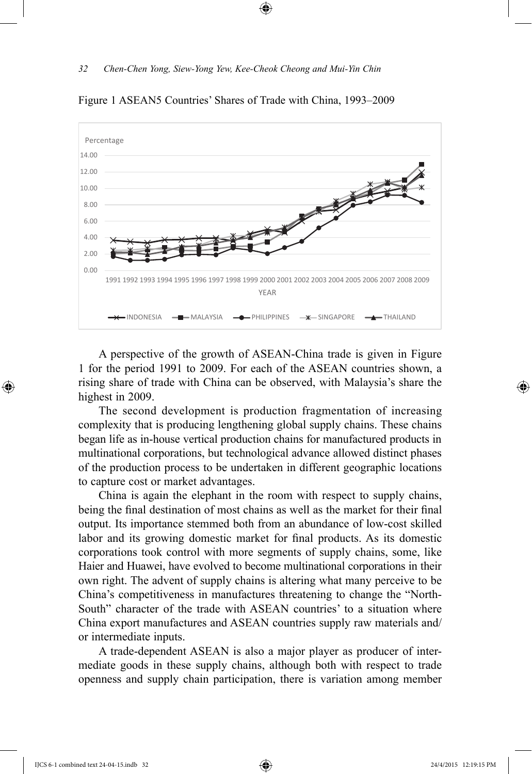

Figure 1 ASEAN5 Countries' Shares of Trade with China, 1993–2009

A perspective of the growth of ASEAN-China trade is given in Figure 1 for the period 1991 to 2009. For each of the ASEAN countries shown, a rising share of trade with China can be observed, with Malaysia's share the highest in 2009.

The second development is production fragmentation of increasing complexity that is producing lengthening global supply chains. These chains began life as in-house vertical production chains for manufactured products in multinational corporations, but technological advance allowed distinct phases of the production process to be undertaken in different geographic locations to capture cost or market advantages.

China is again the elephant in the room with respect to supply chains, being the final destination of most chains as well as the market for their final output. Its importance stemmed both from an abundance of low-cost skilled labor and its growing domestic market for final products. As its domestic corporations took control with more segments of supply chains, some, like Haier and Huawei, have evolved to become multinational corporations in their own right. The advent of supply chains is altering what many perceive to be China's competitiveness in manufactures threatening to change the "North-South" character of the trade with ASEAN countries' to a situation where China export manufactures and ASEAN countries supply raw materials and/ or intermediate inputs.

A trade-dependent ASEAN is also a major player as producer of intermediate goods in these supply chains, although both with respect to trade openness and supply chain participation, there is variation among member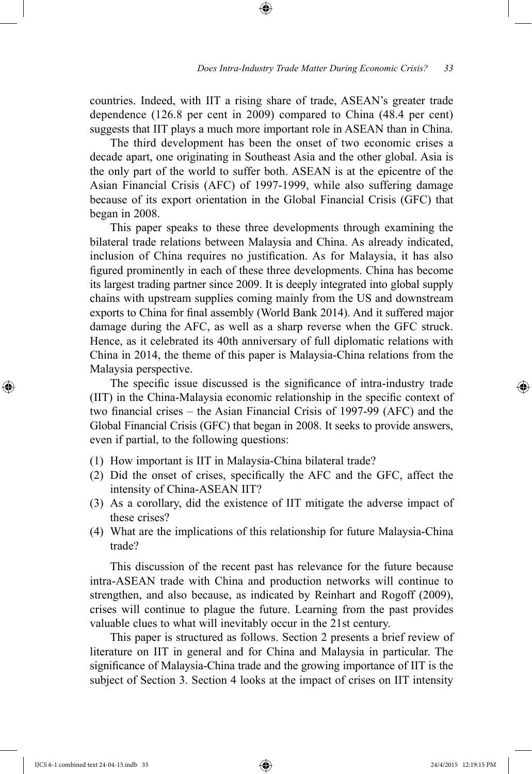countries. Indeed, with IIT a rising share of trade, ASEAN's greater trade dependence (126.8 per cent in 2009) compared to China (48.4 per cent) suggests that IIT plays a much more important role in ASEAN than in China.

The third development has been the onset of two economic crises a decade apart, one originating in Southeast Asia and the other global. Asia is the only part of the world to suffer both. ASEAN is at the epicentre of the Asian Financial Crisis (AFC) of 1997-1999, while also suffering damage because of its export orientation in the Global Financial Crisis (GFC) that began in 2008.

This paper speaks to these three developments through examining the bilateral trade relations between Malaysia and China. As already indicated, inclusion of China requires no justification. As for Malaysia, it has also figured prominently in each of these three developments. China has become its largest trading partner since 2009. It is deeply integrated into global supply chains with upstream supplies coming mainly from the US and downstream exports to China for final assembly (World Bank 2014). And it suffered major damage during the AFC, as well as a sharp reverse when the GFC struck. Hence, as it celebrated its 40th anniversary of full diplomatic relations with China in 2014, the theme of this paper is Malaysia-China relations from the Malaysia perspective.

The specific issue discussed is the significance of intra-industry trade (IIT) in the China-Malaysia economic relationship in the specific context of two financial crises – the Asian Financial Crisis of 1997-99 (AFC) and the Global Financial Crisis (GFC) that began in 2008. It seeks to provide answers, even if partial, to the following questions:

- (1) How important is IIT in Malaysia-China bilateral trade?
- (2) Did the onset of crises, specifically the AFC and the GFC, affect the intensity of China-ASEAN IIT?
- (3) As a corollary, did the existence of IIT mitigate the adverse impact of these crises?
- (4) What are the implications of this relationship for future Malaysia-China trade?

This discussion of the recent past has relevance for the future because intra-ASEAN trade with China and production networks will continue to strengthen, and also because, as indicated by Reinhart and Rogoff (2009), crises will continue to plague the future. Learning from the past provides valuable clues to what will inevitably occur in the 21st century.

This paper is structured as follows. Section 2 presents a brief review of literature on IIT in general and for China and Malaysia in particular. The significance of Malaysia-China trade and the growing importance of IIT is the subject of Section 3. Section 4 looks at the impact of crises on IIT intensity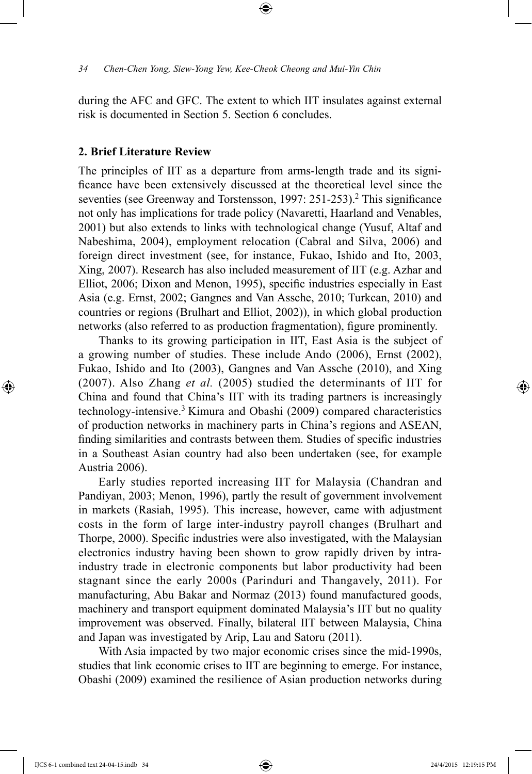during the AFC and GFC. The extent to which IIT insulates against external risk is documented in Section 5. Section 6 concludes.

#### **2. Brief Literature Review**

The principles of IIT as a departure from arms-length trade and its significance have been extensively discussed at the theoretical level since the seventies (see Greenway and Torstensson, 1997: 251-253).<sup>2</sup> This significance not only has implications for trade policy (Navaretti, Haarland and Venables, 2001) but also extends to links with technological change (Yusuf, Altaf and Nabeshima, 2004), employment relocation (Cabral and Silva, 2006) and foreign direct investment (see, for instance, Fukao, Ishido and Ito, 2003, Xing, 2007). Research has also included measurement of IIT (e.g. Azhar and Elliot, 2006; Dixon and Menon, 1995), specific industries especially in East Asia (e.g. Ernst, 2002; Gangnes and Van Assche, 2010; Turkcan, 2010) and countries or regions (Brulhart and Elliot, 2002)), in which global production networks (also referred to as production fragmentation), figure prominently.

Thanks to its growing participation in IIT, East Asia is the subject of a growing number of studies. These include Ando (2006), Ernst (2002), Fukao, Ishido and Ito (2003), Gangnes and Van Assche (2010), and Xing (2007). Also Zhang *et al.* (2005) studied the determinants of IIT for China and found that China's IIT with its trading partners is increasingly technology-intensive.3 Kimura and Obashi (2009) compared characteristics of production networks in machinery parts in China's regions and ASEAN, finding similarities and contrasts between them. Studies of specific industries in a Southeast Asian country had also been undertaken (see, for example Austria 2006).

Early studies reported increasing IIT for Malaysia (Chandran and Pandiyan, 2003; Menon, 1996), partly the result of government involvement in markets (Rasiah, 1995). This increase, however, came with adjustment costs in the form of large inter-industry payroll changes (Brulhart and Thorpe, 2000). Specific industries were also investigated, with the Malaysian electronics industry having been shown to grow rapidly driven by intraindustry trade in electronic components but labor productivity had been stagnant since the early 2000s (Parinduri and Thangavely, 2011). For manufacturing, Abu Bakar and Normaz (2013) found manufactured goods, machinery and transport equipment dominated Malaysia's IIT but no quality improvement was observed. Finally, bilateral IIT between Malaysia, China and Japan was investigated by Arip, Lau and Satoru (2011).

With Asia impacted by two major economic crises since the mid-1990s, studies that link economic crises to IIT are beginning to emerge. For instance, Obashi (2009) examined the resilience of Asian production networks during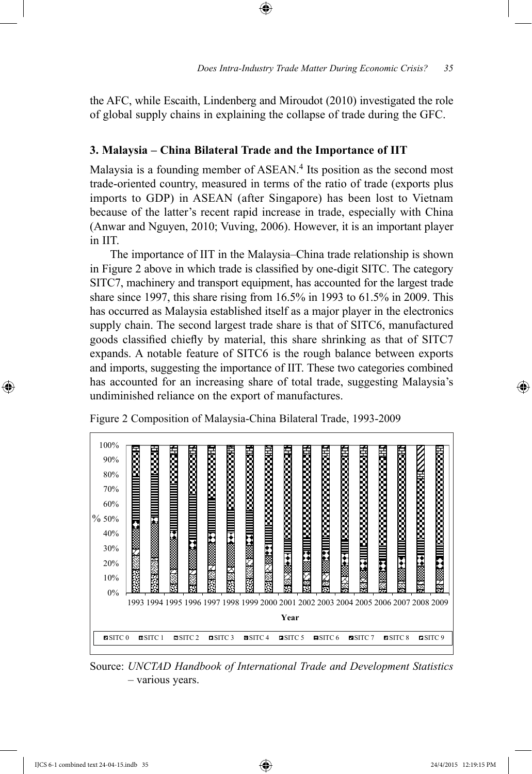the AFC, while Escaith, Lindenberg and Miroudot (2010) investigated the role of global supply chains in explaining the collapse of trade during the GFC.

### **3. Malaysia – China Bilateral Trade and the Importance of IIT**

Malaysia is a founding member of ASEAN.<sup>4</sup> Its position as the second most trade-oriented country, measured in terms of the ratio of trade (exports plus imports to GDP) in ASEAN (after Singapore) has been lost to Vietnam because of the latter's recent rapid increase in trade, especially with China (Anwar and Nguyen, 2010; Vuving, 2006). However, it is an important player in IIT.

The importance of IIT in the Malaysia–China trade relationship is shown in Figure 2 above in which trade is classified by one-digit SITC. The category SITC7, machinery and transport equipment, has accounted for the largest trade share since 1997, this share rising from 16.5% in 1993 to 61.5% in 2009. This has occurred as Malaysia established itself as a major player in the electronics supply chain. The second largest trade share is that of SITC6, manufactured goods classified chiefly by material, this share shrinking as that of SITC7 expands. A notable feature of SITC6 is the rough balance between exports and imports, suggesting the importance of IIT. These two categories combined has accounted for an increasing share of total trade, suggesting Malaysia's undiminished reliance on the export of manufactures.



Figure 2 Composition of Malaysia-China Bilateral Trade, 1993-2009

Source: *UNCTAD Handbook of International Trade and Development Statistics*  – various years.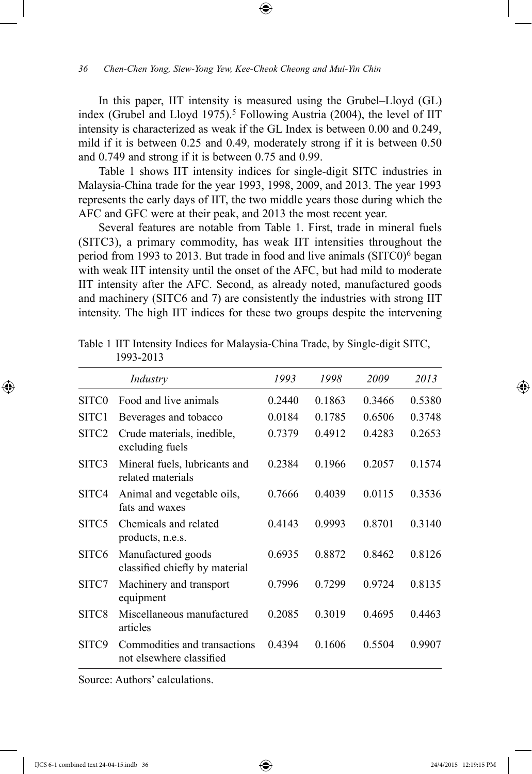In this paper, IIT intensity is measured using the Grubel–Lloyd (GL) index (Grubel and Lloyd 1975).<sup>5</sup> Following Austria (2004), the level of IIT intensity is characterized as weak if the GL Index is between 0.00 and 0.249, mild if it is between 0.25 and 0.49, moderately strong if it is between 0.50 and 0.749 and strong if it is between 0.75 and 0.99.

Table 1 shows IIT intensity indices for single-digit SITC industries in Malaysia-China trade for the year 1993, 1998, 2009, and 2013. The year 1993 represents the early days of IIT, the two middle years those during which the AFC and GFC were at their peak, and 2013 the most recent year.

Several features are notable from Table 1. First, trade in mineral fuels (SITC3), a primary commodity, has weak IIT intensities throughout the period from 1993 to 2013. But trade in food and live animals (SITC0)6 began with weak IIT intensity until the onset of the AFC, but had mild to moderate IIT intensity after the AFC. Second, as already noted, manufactured goods and machinery (SITC6 and 7) are consistently the industries with strong IIT intensity. The high IIT indices for these two groups despite the intervening

|                   | Industry                                                 | 1993   | 1998   | 2009   | 2013   |
|-------------------|----------------------------------------------------------|--------|--------|--------|--------|
| SITC <sub>0</sub> | Food and live animals                                    | 0.2440 | 0.1863 | 0.3466 | 0.5380 |
| SITC <sub>1</sub> | Beverages and tobacco                                    | 0.0184 | 0.1785 | 0.6506 | 0.3748 |
| SITC2             | Crude materials, inedible,<br>excluding fuels            | 0.7379 | 0.4912 | 0.4283 | 0.2653 |
| SITC3             | Mineral fuels, lubricants and<br>related materials       | 0.2384 | 0.1966 | 0.2057 | 0.1574 |
| SITC4             | Animal and vegetable oils,<br>fats and waxes             | 0.7666 | 0.4039 | 0.0115 | 0.3536 |
| SITC <sub>5</sub> | Chemicals and related<br>products, n.e.s.                | 0.4143 | 0.9993 | 0.8701 | 0.3140 |
| SITC <sub>6</sub> | Manufactured goods<br>classified chiefly by material     | 0.6935 | 0.8872 | 0.8462 | 0.8126 |
| SITC7             | Machinery and transport<br>equipment                     | 0.7996 | 0.7299 | 0.9724 | 0.8135 |
| SITC8             | Miscellaneous manufactured<br>articles                   | 0.2085 | 0.3019 | 0.4695 | 0.4463 |
| SITC9             | Commodities and transactions<br>not elsewhere classified | 0.4394 | 0.1606 | 0.5504 | 0.9907 |

Table 1 IIT Intensity Indices for Malaysia-China Trade, by Single-digit SITC, 1993-2013

Source: Authors' calculations.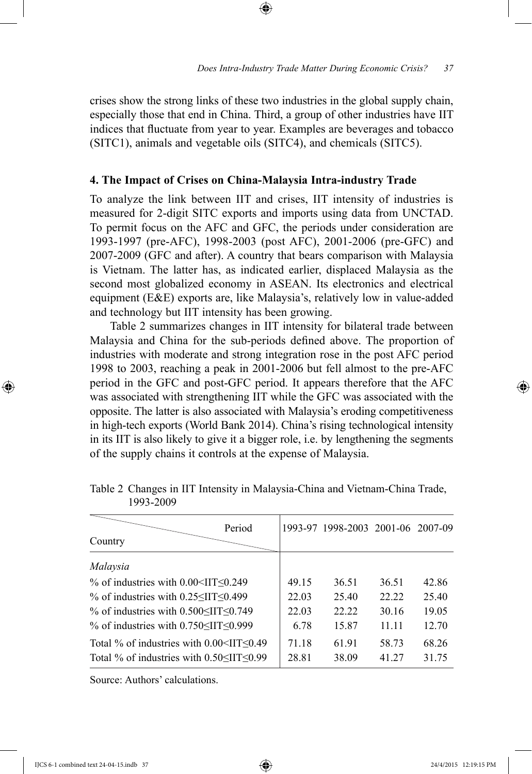crises show the strong links of these two industries in the global supply chain, especially those that end in China. Third, a group of other industries have IIT indices that fluctuate from year to year. Examples are beverages and tobacco (SITC1), animals and vegetable oils (SITC4), and chemicals (SITC5).

# **4. The Impact of Crises on China-Malaysia Intra-industry Trade**

To analyze the link between IIT and crises, IIT intensity of industries is measured for 2-digit SITC exports and imports using data from UNCTAD. To permit focus on the AFC and GFC, the periods under consideration are 1993-1997 (pre-AFC), 1998-2003 (post AFC), 2001-2006 (pre-GFC) and 2007-2009 (GFC and after). A country that bears comparison with Malaysia is Vietnam. The latter has, as indicated earlier, displaced Malaysia as the second most globalized economy in ASEAN. Its electronics and electrical equipment (E&E) exports are, like Malaysia's, relatively low in value-added and technology but IIT intensity has been growing.

Table 2 summarizes changes in IIT intensity for bilateral trade between Malaysia and China for the sub-periods defined above. The proportion of industries with moderate and strong integration rose in the post AFC period 1998 to 2003, reaching a peak in 2001-2006 but fell almost to the pre-AFC period in the GFC and post-GFC period. It appears therefore that the AFC was associated with strengthening IIT while the GFC was associated with the opposite. The latter is also associated with Malaysia's eroding competitiveness in high-tech exports (World Bank 2014). China's rising technological intensity in its IIT is also likely to give it a bigger role, i.e. by lengthening the segments of the supply chains it controls at the expense of Malaysia.

| Period<br>Country                                                                                                    |                | 1993-97 1998-2003 2001-06 2007-09 |                |                |
|----------------------------------------------------------------------------------------------------------------------|----------------|-----------------------------------|----------------|----------------|
| Malaysia                                                                                                             |                |                                   |                |                |
| $\%$ of industries with 0.00 <iit<math>\leq0.249</iit<math>                                                          | 49.15          | 36.51                             | 36.51          | 42.86          |
| % of industries with $0.25 \leq H \leq 0.499$                                                                        | 22.03          | 25.40                             | 22.22          | 25.40          |
| % of industries with $0.500 \leq II T \leq 0.749$                                                                    | 22.03          | 22.22                             | 30.16          | 19.05          |
| $\%$ of industries with 0.750 <iit<0.999< td=""><td>6.78</td><td>15.87</td><td>11.11</td><td>12.70</td></iit<0.999<> | 6.78           | 15.87                             | 11.11          | 12.70          |
| Total % of industries with $0.00<$ IIT $\leq 0.49$<br>Total % of industries with $0.50 \leq II \leq 0.99$            | 71.18<br>28.81 | 61 91<br>38.09                    | 58.73<br>41.27 | 68.26<br>31.75 |

Table 2 Changes in IIT Intensity in Malaysia-China and Vietnam-China Trade, 1993-2009

Source: Authors' calculations.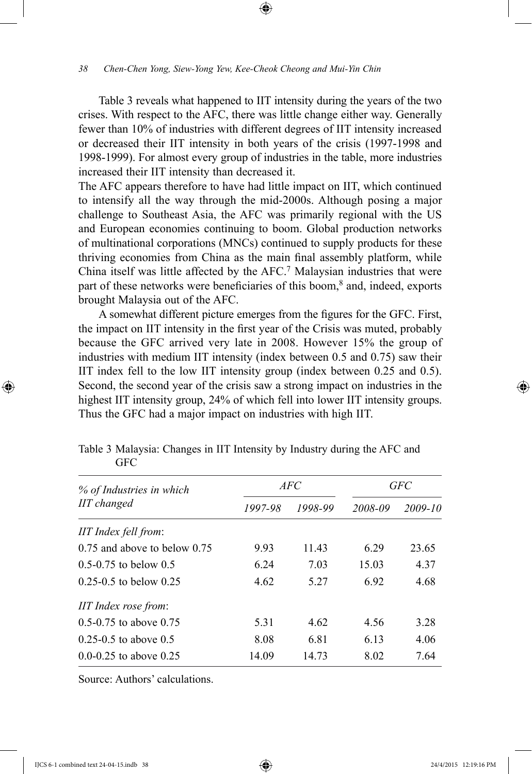Table 3 reveals what happened to IIT intensity during the years of the two crises. With respect to the AFC, there was little change either way. Generally fewer than 10% of industries with different degrees of IIT intensity increased or decreased their IIT intensity in both years of the crisis (1997-1998 and 1998-1999). For almost every group of industries in the table, more industries increased their IIT intensity than decreased it.

The AFC appears therefore to have had little impact on IIT, which continued to intensify all the way through the mid-2000s. Although posing a major challenge to Southeast Asia, the AFC was primarily regional with the US and European economies continuing to boom. Global production networks of multinational corporations (MNCs) continued to supply products for these thriving economies from China as the main final assembly platform, while China itself was little affected by the AFC.7 Malaysian industries that were part of these networks were beneficiaries of this boom,<sup>8</sup> and, indeed, exports brought Malaysia out of the AFC.

A somewhat different picture emerges from the figures for the GFC. First, the impact on IIT intensity in the first year of the Crisis was muted, probably because the GFC arrived very late in 2008. However 15% the group of industries with medium IIT intensity (index between 0.5 and 0.75) saw their IIT index fell to the low IIT intensity group (index between 0.25 and 0.5). Second, the second year of the crisis saw a strong impact on industries in the highest IIT intensity group, 24% of which fell into lower IIT intensity groups. Thus the GFC had a major impact on industries with high IIT.

| % of Industries in which         |         | <i>AFC</i> | GFC     |         |
|----------------------------------|---------|------------|---------|---------|
| <b>IIT</b> changed               | 1997-98 | 1998-99    | 2008-09 | 2009-10 |
| IIT Index fell from:             |         |            |         |         |
| $0.75$ and above to below $0.75$ | 9.93    | 11.43      | 6.29    | 23.65   |
| $0.5 - 0.75$ to below 0.5        | 6 24    | 7.03       | 15.03   | 4.37    |
| $0.25 - 0.5$ to below $0.25$     | 4.62    | 5.27       | 6.92    | 4.68    |
| IIT Index rose from:             |         |            |         |         |
| $0.5 - 0.75$ to above $0.75$     | 5.31    | 4.62       | 4.56    | 3.28    |
| $0.25 - 0.5$ to above $0.5$      | 8.08    | 6.81       | 6.13    | 4.06    |
| $0.0 - 0.25$ to above 0.25       | 14.09   | 14.73      | 8.02    | 7.64    |

Table 3 Malaysia: Changes in IIT Intensity by Industry during the AFC and **GFC** 

Source: Authors' calculations.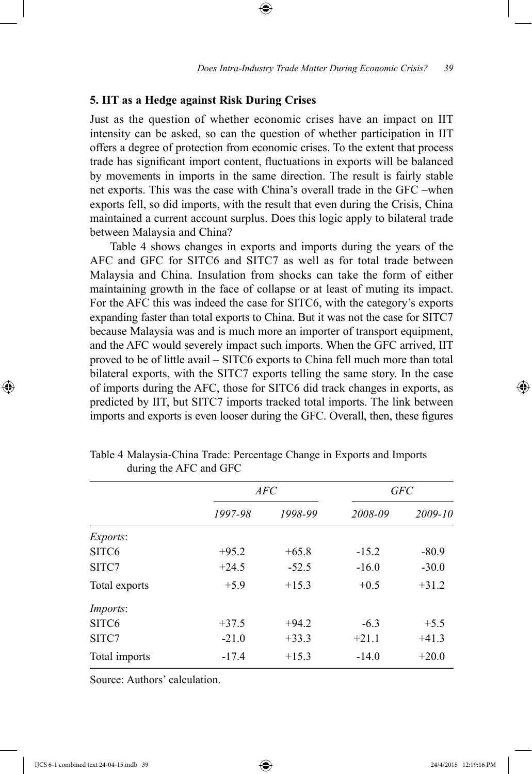#### **5. IIT as a Hedge against Risk During Crises**

Just as the question of whether economic crises have an impact on IIT intensity can be asked, so can the question of whether participation in IIT offers a degree of protection from economic crises. To the extent that process trade has significant import content, fluctuations in exports will be balanced by movements in imports in the same direction. The result is fairly stable net exports. This was the case with China's overall trade in the GFC –when exports fell, so did imports, with the result that even during the Crisis, China maintained a current account surplus. Does this logic apply to bilateral trade between Malaysia and China?

Table 4 shows changes in exports and imports during the years of the AFC and GFC for SITC6 and SITC7 as well as for total trade between Malaysia and China. Insulation from shocks can take the form of either maintaining growth in the face of collapse or at least of muting its impact. For the AFC this was indeed the case for SITC6, with the category's exports expanding faster than total exports to China. But it was not the case for SITC7 because Malaysia was and is much more an importer of transport equipment, and the AFC would severely impact such imports. When the GFC arrived, IIT proved to be of little avail – SITC6 exports to China fell much more than total bilateral exports, with the SITC7 exports telling the same story. In the case of imports during the AFC, those for SITC6 did track changes in exports, as predicted by IIT, but SITC7 imports tracked total imports. The link between imports and exports is even looser during the GFC. Overall, then, these figures

|                   | AFC     |         | GFC     |         |  |
|-------------------|---------|---------|---------|---------|--|
|                   | 1997-98 | 1998-99 | 2008-09 | 2009-10 |  |
| Exports:          |         |         |         |         |  |
| SITC <sub>6</sub> | $+95.2$ | $+65.8$ | $-15.2$ | $-80.9$ |  |
| SITC7             | $+24.5$ | $-52.5$ | $-16.0$ | $-30.0$ |  |
| Total exports     | $+5.9$  | $+15.3$ | $+0.5$  | $+31.2$ |  |
| <i>Imports:</i>   |         |         |         |         |  |
| SITC <sub>6</sub> | $+37.5$ | $+94.2$ | $-6.3$  | $+5.5$  |  |
| SITC7             | $-21.0$ | $+33.3$ | $+21.1$ | $+41.3$ |  |
| Total imports     | $-17.4$ | $+15.3$ | $-14.0$ | $+20.0$ |  |

Table 4 Malaysia-China Trade: Percentage Change in Exports and Imports during the AFC and GFC

Source: Authors' calculation.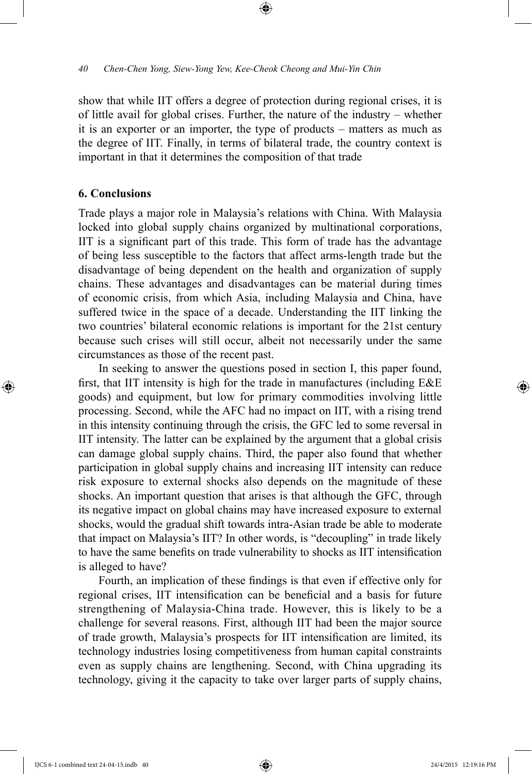show that while IIT offers a degree of protection during regional crises, it is of little avail for global crises. Further, the nature of the industry – whether it is an exporter or an importer, the type of products – matters as much as the degree of IIT. Finally, in terms of bilateral trade, the country context is important in that it determines the composition of that trade

# **6. Conclusions**

Trade plays a major role in Malaysia's relations with China. With Malaysia locked into global supply chains organized by multinational corporations, IIT is a significant part of this trade. This form of trade has the advantage of being less susceptible to the factors that affect arms-length trade but the disadvantage of being dependent on the health and organization of supply chains. These advantages and disadvantages can be material during times of economic crisis, from which Asia, including Malaysia and China, have suffered twice in the space of a decade. Understanding the IIT linking the two countries' bilateral economic relations is important for the 21st century because such crises will still occur, albeit not necessarily under the same circumstances as those of the recent past.

In seeking to answer the questions posed in section I, this paper found, first, that IIT intensity is high for the trade in manufactures (including E&E goods) and equipment, but low for primary commodities involving little processing. Second, while the AFC had no impact on IIT, with a rising trend in this intensity continuing through the crisis, the GFC led to some reversal in IIT intensity. The latter can be explained by the argument that a global crisis can damage global supply chains. Third, the paper also found that whether participation in global supply chains and increasing IIT intensity can reduce risk exposure to external shocks also depends on the magnitude of these shocks. An important question that arises is that although the GFC, through its negative impact on global chains may have increased exposure to external shocks, would the gradual shift towards intra-Asian trade be able to moderate that impact on Malaysia's IIT? In other words, is "decoupling" in trade likely to have the same benefits on trade vulnerability to shocks as IIT intensification is alleged to have?

Fourth, an implication of these findings is that even if effective only for regional crises, IIT intensification can be beneficial and a basis for future strengthening of Malaysia-China trade. However, this is likely to be a challenge for several reasons. First, although IIT had been the major source of trade growth, Malaysia's prospects for IIT intensification are limited, its technology industries losing competitiveness from human capital constraints even as supply chains are lengthening. Second, with China upgrading its technology, giving it the capacity to take over larger parts of supply chains,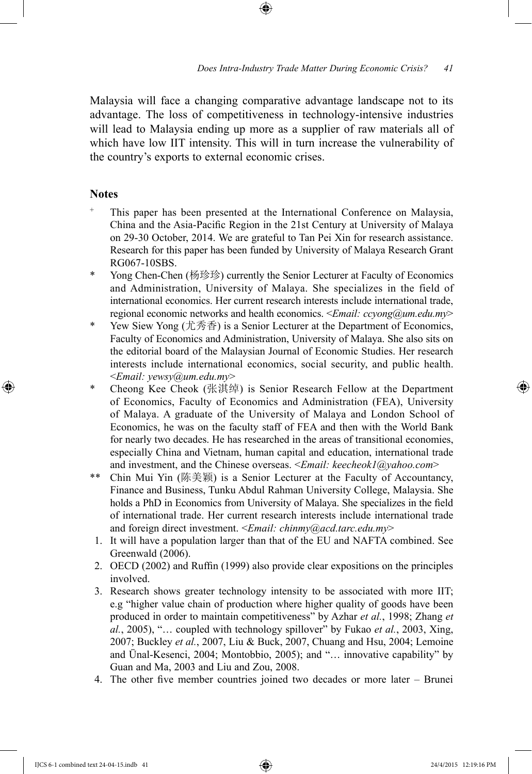Malaysia will face a changing comparative advantage landscape not to its advantage. The loss of competitiveness in technology-intensive industries will lead to Malaysia ending up more as a supplier of raw materials all of which have low IIT intensity. This will in turn increase the vulnerability of the country's exports to external economic crises.

# **Notes**

- This paper has been presented at the International Conference on Malaysia, China and the Asia-Pacific Region in the 21st Century at University of Malaya on 29-30 October, 2014. We are grateful to Tan Pei Xin for research assistance. Research for this paper has been funded by University of Malaya Research Grant RG067-10SBS.
- \* Yong Chen-Chen (杨珍珍) currently the Senior Lecturer at Faculty of Economics and Administration, University of Malaya. She specializes in the field of international economics. Her current research interests include international trade, regional economic networks and health economics. <*Email: ccyong@um.edu.my*>
- \* Yew Siew Yong (尤秀香) is a Senior Lecturer at the Department of Economics, Faculty of Economics and Administration, University of Malaya. She also sits on the editorial board of the Malaysian Journal of Economic Studies. Her research interests include international economics, social security, and public health. <*Email: yewsy@um.edu.my*>
- \* Cheong Kee Cheok (张淇绰) is Senior Research Fellow at the Department of Economics, Faculty of Economics and Administration (FEA), University of Malaya. A graduate of the University of Malaya and London School of Economics, he was on the faculty staff of FEA and then with the World Bank for nearly two decades. He has researched in the areas of transitional economies, especially China and Vietnam, human capital and education, international trade and investment, and the Chinese overseas. <*Email: keecheok1@yahoo.com*>
- \*\* Chin Mui Yin (陈美颖) is a Senior Lecturer at the Faculty of Accountancy, Finance and Business, Tunku Abdul Rahman University College, Malaysia. She holds a PhD in Economics from University of Malaya. She specializes in the field of international trade. Her current research interests include international trade and foreign direct investment. <*Email: chinmy@acd.tarc.edu.my*>
	- 1. It will have a population larger than that of the EU and NAFTA combined. See Greenwald (2006).
	- 2. OECD (2002) and Ruffin (1999) also provide clear expositions on the principles involved.
	- 3. Research shows greater technology intensity to be associated with more IIT; e.g "higher value chain of production where higher quality of goods have been produced in order to maintain competitiveness" by Azhar *et al.*, 1998; Zhang *et al.*, 2005), "… coupled with technology spillover" by Fukao *et al.*, 2003, Xing, 2007; Buckley *et al.*, 2007, Liu & Buck, 2007, Chuang and Hsu, 2004; Lemoine and Ünal-Kesenci, 2004; Montobbio, 2005); and "… innovative capability" by Guan and Ma, 2003 and Liu and Zou, 2008.
	- 4. The other five member countries joined two decades or more later Brunei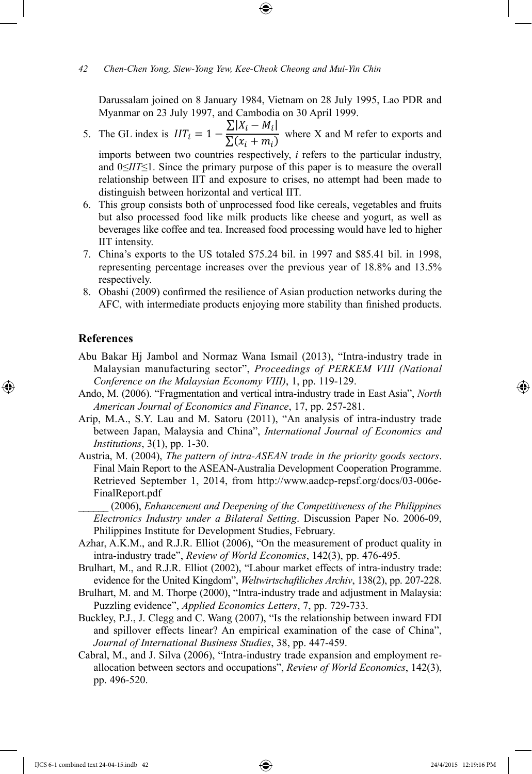Darussalam joined on 8 January 1984, Vietnam on 28 July 1995, Lao PDR and Myanmar on 23 July 1997, and Cambodia on 30 April 1999.

- 5. The GL index is  $III_i = 1 \frac{\sum |X_i M_i|}{\sum (x_i + m_i)}$  where X and M refer to exports and imports between two countries respectively, *i* refers to the particular industry, and 0≤*IIT*≤1. Since the primary purpose of this paper is to measure the overall relationship between IIT and exposure to crises, no attempt had been made to distinguish between horizontal and vertical IIT.
- 6. This group consists both of unprocessed food like cereals, vegetables and fruits but also processed food like milk products like cheese and yogurt, as well as beverages like coffee and tea. Increased food processing would have led to higher IIT intensity.
- 7. China's exports to the US totaled \$75.24 bil. in 1997 and \$85.41 bil. in 1998, representing percentage increases over the previous year of 18.8% and 13.5% respectively.
- 8. Obashi (2009) confirmed the resilience of Asian production networks during the AFC, with intermediate products enjoying more stability than finished products.

#### **References**

- Abu Bakar Hj Jambol and Normaz Wana Ismail (2013), "Intra-industry trade in Malaysian manufacturing sector", *Proceedings of PERKEM VIII (National Conference on the Malaysian Economy VIII)*, 1, pp. 119-129.
- Ando, M. (2006). "Fragmentation and vertical intra-industry trade in East Asia", *North American Journal of Economics and Finance*, 17, pp. 257-281.
- Arip, M.A., S.Y. Lau and M. Satoru (2011), "An analysis of intra-industry trade between Japan, Malaysia and China", *International Journal of Economics and Institutions*, 3(1), pp. 1-30.
- Austria, M. (2004), *The pattern of intra-ASEAN trade in the priority goods sectors*. Final Main Report to the ASEAN-Australia Development Cooperation Programme. Retrieved September 1, 2014, from http://www.aadcp-repsf.org/docs/03-006e-FinalReport.pdf

\_\_\_\_\_\_ (2006), *Enhancement and Deepening of the Competitiveness of the Philippines Electronics Industry under a Bilateral Setting*. Discussion Paper No. 2006-09, Philippines Institute for Development Studies, February.

- Azhar, A.K.M., and R.J.R. Elliot (2006), "On the measurement of product quality in intra-industry trade", *Review of World Economics*, 142(3), pp. 476-495.
- Brulhart, M., and R.J.R. Elliot (2002), "Labour market effects of intra-industry trade: evidence for the United Kingdom", *Weltwirtschaftliches Archiv*, 138(2), pp. 207-228.
- Brulhart, M. and M. Thorpe (2000), "Intra-industry trade and adjustment in Malaysia: Puzzling evidence", *Applied Economics Letters*, 7, pp. 729-733.
- Buckley, P.J., J. Clegg and C. Wang (2007), "Is the relationship between inward FDI and spillover effects linear? An empirical examination of the case of China", *Journal of International Business Studies*, 38, pp. 447-459.
- Cabral, M., and J. Silva (2006), "Intra-industry trade expansion and employment reallocation between sectors and occupations", *Review of World Economics*, 142(3), pp. 496-520.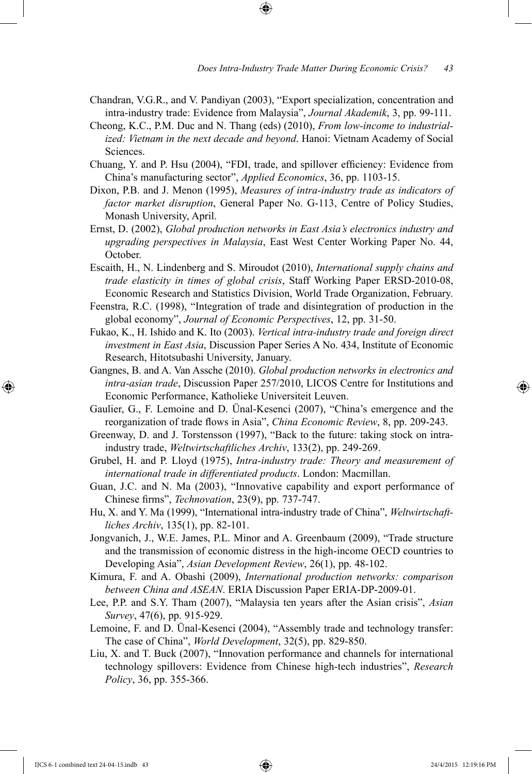- Chandran, V.G.R., and V. Pandiyan (2003), "Export specialization, concentration and intra-industry trade: Evidence from Malaysia", *Journal Akademik*, 3, pp. 99-111.
- Cheong, K.C., P.M. Duc and N. Thang (eds) (2010), *From low-income to industrialized: Vietnam in the next decade and beyond*. Hanoi: Vietnam Academy of Social Sciences.
- Chuang, Y. and P. Hsu (2004), "FDI, trade, and spillover efficiency: Evidence from China's manufacturing sector", *Applied Economics*, 36, pp. 1103-15.
- Dixon, P.B. and J. Menon (1995), *Measures of intra-industry trade as indicators of factor market disruption*, General Paper No. G-113, Centre of Policy Studies, Monash University, April.
- Ernst, D. (2002), *Global production networks in East Asia's electronics industry and upgrading perspectives in Malaysia*, East West Center Working Paper No. 44, October.
- Escaith, H., N. Lindenberg and S. Miroudot (2010), *International supply chains and trade elasticity in times of global crisis*, Staff Working Paper ERSD-2010-08, Economic Research and Statistics Division, World Trade Organization, February.
- Feenstra, R.C. (1998), "Integration of trade and disintegration of production in the global economy", *Journal of Economic Perspectives*, 12, pp. 31-50.
- Fukao, K., H. Ishido and K. Ito (2003). *Vertical intra-industry trade and foreign direct investment in East Asia*, Discussion Paper Series A No. 434, Institute of Economic Research, Hitotsubashi University, January.
- Gangnes, B. and A. Van Assche (2010). *Global production networks in electronics and intra-asian trade*, Discussion Paper 257/2010, LICOS Centre for Institutions and Economic Performance, Katholieke Universiteit Leuven.
- Gaulier, G., F. Lemoine and D. Ünal-Kesenci (2007), "China's emergence and the reorganization of trade flows in Asia", *China Economic Review*, 8, pp. 209-243.
- Greenway, D. and J. Torstensson (1997), "Back to the future: taking stock on intraindustry trade, *Weltwirtschaftliches Archiv*, 133(2), pp. 249-269.
- Grubel, H. and P. Lloyd (1975), *Intra-industry trade: Theory and measurement of international trade in differentiated products*. London: Macmillan.
- Guan, J.C. and N. Ma (2003), "Innovative capability and export performance of Chinese firms", *Technovation*, 23(9), pp. 737-747.
- Hu, X. and Y. Ma (1999), "International intra-industry trade of China", *Weltwirtschaftliches Archiv*, 135(1), pp. 82-101.
- Jongvanich, J., W.E. James, P.L. Minor and A. Greenbaum (2009), "Trade structure and the transmission of economic distress in the high-income OECD countries to Developing Asia", *Asian Development Review*, 26(1), pp. 48-102.
- Kimura, F. and A. Obashi (2009), *International production networks: comparison between China and ASEAN*. ERIA Discussion Paper ERIA-DP-2009-01.
- Lee, P.P. and S.Y. Tham (2007), "Malaysia ten years after the Asian crisis", *Asian Survey*, 47(6), pp. 915-929.
- Lemoine, F. and D. Ünal-Kesenci (2004), "Assembly trade and technology transfer: The case of China", *World Development*, 32(5), pp. 829-850.
- Liu, X. and T. Buck (2007), "Innovation performance and channels for international technology spillovers: Evidence from Chinese high-tech industries", *Research Policy*, 36, pp. 355-366.